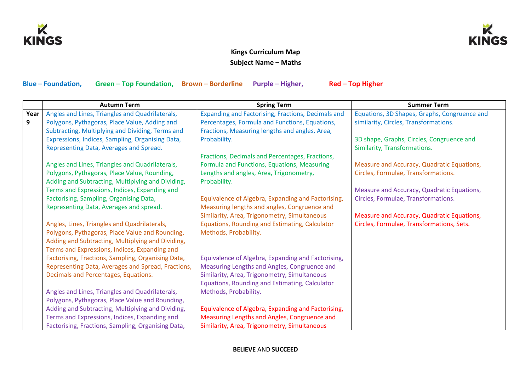



## **Kings Curriculum Map Subject Name – Maths**

**Blue – Foundation, Green – Top Foundation, Brown – Borderline Purple – Higher, Red – Top Higher** 

|      | <b>Autumn Term</b>                                 | <b>Spring Term</b>                                 | <b>Summer Term</b>                           |
|------|----------------------------------------------------|----------------------------------------------------|----------------------------------------------|
| Year | Angles and Lines, Triangles and Quadrilaterals,    | Expanding and Factorising, Fractions, Decimals and | Equations, 3D Shapes, Graphs, Congruence and |
| 9    | Polygons, Pythagoras, Place Value, Adding and      | Percentages, Formula and Functions, Equations,     | similarity, Circles, Transformations.        |
|      | Subtracting, Multiplying and Dividing, Terms and   | Fractions, Measuring lengths and angles, Area,     |                                              |
|      | Expressions, Indices, Sampling, Organising Data,   | Probability.                                       | 3D shape, Graphs, Circles, Congruence and    |
|      | Representing Data, Averages and Spread.            |                                                    | Similarity, Transformations.                 |
|      |                                                    | Fractions, Decimals and Percentages, Fractions,    |                                              |
|      | Angles and Lines, Triangles and Quadrilaterals,    | Formula and Functions, Equations, Measuring        | Measure and Accuracy, Quadratic Equations,   |
|      | Polygons, Pythagoras, Place Value, Rounding,       | Lengths and angles, Area, Trigonometry,            | Circles, Formulae, Transformations.          |
|      | Adding and Subtracting, Multiplying and Dividing,  | Probability.                                       |                                              |
|      | Terms and Expressions, Indices, Expanding and      |                                                    | Measure and Accuracy, Quadratic Equations,   |
|      | Factorising, Sampling, Organising Data,            | Equivalence of Algebra, Expanding and Factorising, | Circles, Formulae, Transformations.          |
|      | Representing Data, Averages and spread.            | Measuring lengths and angles, Congruence and       |                                              |
|      |                                                    | Similarity, Area, Trigonometry, Simultaneous       | Measure and Accuracy, Quadratic Equations,   |
|      | Angles, Lines, Triangles and Quadrilaterals,       | Equations, Rounding and Estimating, Calculator     | Circles, Formulae, Transformations, Sets.    |
|      | Polygons, Pythagoras, Place Value and Rounding,    | Methods, Probability.                              |                                              |
|      | Adding and Subtracting, Multiplying and Dividing,  |                                                    |                                              |
|      | Terms and Expressions, Indices, Expanding and      |                                                    |                                              |
|      | Factorising, Fractions, Sampling, Organising Data, | Equivalence of Algebra, Expanding and Factorising, |                                              |
|      | Representing Data, Averages and Spread, Fractions, | Measuring Lengths and Angles, Congruence and       |                                              |
|      | Decimals and Percentages, Equations.               | Similarity, Area, Trigonometry, Simultaneous       |                                              |
|      |                                                    | Equations, Rounding and Estimating, Calculator     |                                              |
|      | Angles and Lines, Triangles and Quadrilaterals,    | Methods, Probability.                              |                                              |
|      | Polygons, Pythagoras, Place Value and Rounding,    |                                                    |                                              |
|      | Adding and Subtracting, Multiplying and Dividing,  | Equivalence of Algebra, Expanding and Factorising, |                                              |
|      | Terms and Expressions, Indices, Expanding and      | Measuring Lengths and Angles, Congruence and       |                                              |
|      | Factorising, Fractions, Sampling, Organising Data, | Similarity, Area, Trigonometry, Simultaneous       |                                              |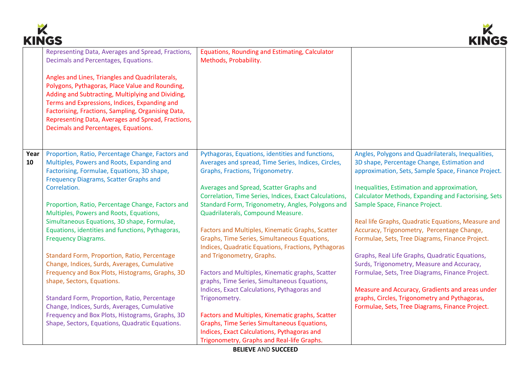



|            | www                                                                                                                                                                                                                                                                                                                                                          |                                                                                                                                                                                                     | muve                                                                                                                                                     |
|------------|--------------------------------------------------------------------------------------------------------------------------------------------------------------------------------------------------------------------------------------------------------------------------------------------------------------------------------------------------------------|-----------------------------------------------------------------------------------------------------------------------------------------------------------------------------------------------------|----------------------------------------------------------------------------------------------------------------------------------------------------------|
|            | Representing Data, Averages and Spread, Fractions,<br>Decimals and Percentages, Equations.                                                                                                                                                                                                                                                                   | Equations, Rounding and Estimating, Calculator<br>Methods, Probability.                                                                                                                             |                                                                                                                                                          |
|            | Angles and Lines, Triangles and Quadrilaterals,<br>Polygons, Pythagoras, Place Value and Rounding,<br>Adding and Subtracting, Multiplying and Dividing,<br>Terms and Expressions, Indices, Expanding and<br>Factorising, Fractions, Sampling, Organising Data,<br>Representing Data, Averages and Spread, Fractions,<br>Decimals and Percentages, Equations. |                                                                                                                                                                                                     |                                                                                                                                                          |
| Year<br>10 | Proportion, Ratio, Percentage Change, Factors and<br>Multiples, Powers and Roots, Expanding and<br>Factorising, Formulae, Equations, 3D shape,<br><b>Frequency Diagrams, Scatter Graphs and</b>                                                                                                                                                              | Pythagoras, Equations, identities and functions,<br>Averages and spread, Time Series, Indices, Circles,<br>Graphs, Fractions, Trigonometry.                                                         | Angles, Polygons and Quadrilaterals, Inequalities,<br>3D shape, Percentage Change, Estimation and<br>approximation, Sets, Sample Space, Finance Project. |
|            | Correlation.<br>Proportion, Ratio, Percentage Change, Factors and                                                                                                                                                                                                                                                                                            | Averages and Spread, Scatter Graphs and<br>Correlation, Time Series, Indices, Exact Calculations,<br>Standard Form, Trigonometry, Angles, Polygons and                                              | Inequalities, Estimation and approximation,<br>Calculator Methods, Expanding and Factorising, Sets<br>Sample Space, Finance Project.                     |
|            | Multiples, Powers and Roots, Equations,<br>Simultaneous Equations, 3D shape, Formulae,<br>Equations, identities and functions, Pythagoras,<br><b>Frequency Diagrams.</b>                                                                                                                                                                                     | Quadrilaterals, Compound Measure.<br>Factors and Multiples, Kinematic Graphs, Scatter<br>Graphs, Time Series, Simultaneous Equations,                                                               | Real life Graphs, Quadratic Equations, Measure and<br>Accuracy, Trigonometry, Percentage Change,<br>Formulae, Sets, Tree Diagrams, Finance Project.      |
|            | Standard Form, Proportion, Ratio, Percentage<br>Change, Indices, Surds, Averages, Cumulative<br>Frequency and Box Plots, Histograms, Graphs, 3D<br>shape, Sectors, Equations.                                                                                                                                                                                | Indices, Quadratic Equations, Fractions, Pythagoras<br>and Trigonometry, Graphs.<br>Factors and Multiples, Kinematic graphs, Scatter<br>graphs, Time Series, Simultaneous Equations,                | Graphs, Real Life Graphs, Quadratic Equations,<br>Surds, Trigonometry, Measure and Accuracy,<br>Formulae, Sets, Tree Diagrams, Finance Project.          |
|            | Standard Form, Proportion, Ratio, Percentage<br>Change, Indices, Surds, Averages, Cumulative                                                                                                                                                                                                                                                                 | Indices, Exact Calculations, Pythagoras and<br>Trigonometry.                                                                                                                                        | Measure and Accuracy, Gradients and areas under<br>graphs, Circles, Trigonometry and Pythagoras,<br>Formulae, Sets, Tree Diagrams, Finance Project.      |
|            | Frequency and Box Plots, Histograms, Graphs, 3D<br>Shape, Sectors, Equations, Quadratic Equations.                                                                                                                                                                                                                                                           | Factors and Multiples, Kinematic graphs, Scatter<br><b>Graphs, Time Series Simultaneous Equations,</b><br>Indices, Exact Calculations, Pythagoras and<br>Trigonometry, Graphs and Real-life Graphs. |                                                                                                                                                          |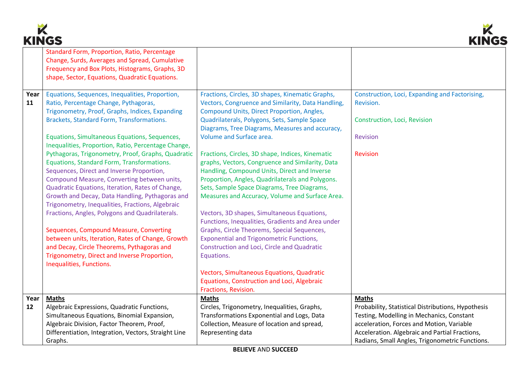



|      | INITUJ<br>INIIVY                                                                               |                                                    |                                                    |  |  |
|------|------------------------------------------------------------------------------------------------|----------------------------------------------------|----------------------------------------------------|--|--|
|      | Standard Form, Proportion, Ratio, Percentage<br>Change, Surds, Averages and Spread, Cumulative |                                                    |                                                    |  |  |
|      | Frequency and Box Plots, Histograms, Graphs, 3D                                                |                                                    |                                                    |  |  |
|      | shape, Sector, Equations, Quadratic Equations.                                                 |                                                    |                                                    |  |  |
|      |                                                                                                |                                                    |                                                    |  |  |
| Year | Equations, Sequences, Inequalities, Proportion,                                                | Fractions, Circles, 3D shapes, Kinematic Graphs,   | Construction, Loci, Expanding and Factorising,     |  |  |
| 11   | Ratio, Percentage Change, Pythagoras,                                                          | Vectors, Congruence and Similarity, Data Handling, | Revision.                                          |  |  |
|      | Trigonometry, Proof, Graphs, Indices, Expanding                                                | Compound Units, Direct Proportion, Angles,         |                                                    |  |  |
|      | Brackets, Standard Form, Transformations.                                                      | Quadrilaterals, Polygons, Sets, Sample Space       | Construction, Loci, Revision                       |  |  |
|      |                                                                                                | Diagrams, Tree Diagrams, Measures and accuracy,    |                                                    |  |  |
|      | Equations, Simultaneous Equations, Sequences,                                                  | Volume and Surface area.                           | Revision                                           |  |  |
|      | Inequalities, Proportion, Ratio, Percentage Change,                                            |                                                    |                                                    |  |  |
|      | Pythagoras, Trigonometry, Proof, Graphs, Quadratic                                             | Fractions, Circles, 3D shape, Indices, Kinematic   | Revision                                           |  |  |
|      | Equations, Standard Form, Transformations.                                                     | graphs, Vectors, Congruence and Similarity, Data   |                                                    |  |  |
|      | Sequences, Direct and Inverse Proportion,                                                      | Handling, Compound Units, Direct and Inverse       |                                                    |  |  |
|      | Compound Measure, Converting between units,                                                    | Proportion, Angles, Quadrilaterals and Polygons.   |                                                    |  |  |
|      | Quadratic Equations, Iteration, Rates of Change,                                               | Sets, Sample Space Diagrams, Tree Diagrams,        |                                                    |  |  |
|      | Growth and Decay, Data Handling, Pythagoras and                                                | Measures and Accuracy, Volume and Surface Area.    |                                                    |  |  |
|      | Trigonometry, Inequalities, Fractions, Algebraic                                               |                                                    |                                                    |  |  |
|      | Fractions, Angles, Polygons and Quadrilaterals.                                                | Vectors, 3D shapes, Simultaneous Equations,        |                                                    |  |  |
|      |                                                                                                | Functions, Inequalities, Gradients and Area under  |                                                    |  |  |
|      | Sequences, Compound Measure, Converting                                                        | Graphs, Circle Theorems, Special Sequences,        |                                                    |  |  |
|      | between units, Iteration, Rates of Change, Growth                                              | <b>Exponential and Trigonometric Functions,</b>    |                                                    |  |  |
|      | and Decay, Circle Theorems, Pythagoras and                                                     | Construction and Loci, Circle and Quadratic        |                                                    |  |  |
|      | Trigonometry, Direct and Inverse Proportion,                                                   | Equations.                                         |                                                    |  |  |
|      | Inequalities, Functions.                                                                       |                                                    |                                                    |  |  |
|      |                                                                                                | Vectors, Simultaneous Equations, Quadratic         |                                                    |  |  |
|      |                                                                                                | Equations, Construction and Loci, Algebraic        |                                                    |  |  |
|      |                                                                                                | Fractions, Revision.                               |                                                    |  |  |
| Year | <b>Maths</b>                                                                                   | <b>Maths</b>                                       | <b>Maths</b>                                       |  |  |
| 12   | Algebraic Expressions, Quadratic Functions,                                                    | Circles, Trigonometry, Inequalities, Graphs,       | Probability, Statistical Distributions, Hypothesis |  |  |
|      | Simultaneous Equations, Binomial Expansion,                                                    | Transformations Exponential and Logs, Data         | Testing, Modelling in Mechanics, Constant          |  |  |
|      | Algebraic Division, Factor Theorem, Proof,                                                     | Collection, Measure of location and spread,        | acceleration, Forces and Motion, Variable          |  |  |
|      | Differentiation, Integration, Vectors, Straight Line                                           | Representing data                                  | Acceleration. Algebraic and Partial Fractions,     |  |  |
|      | Graphs.                                                                                        |                                                    | Radians, Small Angles, Trigonometric Functions.    |  |  |